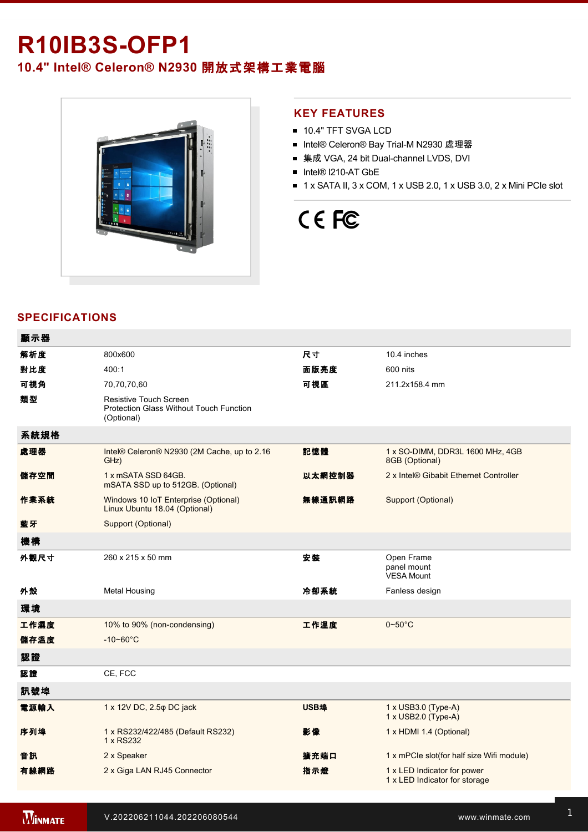## **R10IB3S-OFP1**

**10.4" Intel® Celeron® N2930** 開放式架構工業電腦



#### **KEY FEATURES**

- **10.4" TFT SVGA LCD**
- Intel® Celeron® Bay Trial-M N2930 處理器
- 集成 VGA, 24 bit Dual-channel LVDS, DVI
- Intel® I210-AT GbE
- $\blacksquare$  1 x SATA II, 3 x COM, 1 x USB 2.0, 1 x USB 3.0, 2 x Mini PCIe slot

# CE FC

### **SPECIFICATIONS**

| 顯示器  |                                                                                        |             |                                                              |
|------|----------------------------------------------------------------------------------------|-------------|--------------------------------------------------------------|
| 解析度  | 800x600                                                                                | 尺寸          | 10.4 inches                                                  |
| 對比度  | 400:1                                                                                  | 面版亮度        | 600 nits                                                     |
| 可視角  | 70,70,70,60                                                                            | 可視區         | 211.2x158.4 mm                                               |
| 類型   | <b>Resistive Touch Screen</b><br>Protection Glass Without Touch Function<br>(Optional) |             |                                                              |
| 系統規格 |                                                                                        |             |                                                              |
| 處理器  | Intel® Celeron® N2930 (2M Cache, up to 2.16<br>GHz)                                    | 記憶體         | 1 x SO-DIMM, DDR3L 1600 MHz, 4GB<br>8GB (Optional)           |
| 儲存空間 | 1 x mSATA SSD 64GB.<br>mSATA SSD up to 512GB. (Optional)                               | 以太網控制器      | 2 x Intel® Gibabit Ethernet Controller                       |
| 作業系統 | Windows 10 IoT Enterprise (Optional)<br>Linux Ubuntu 18.04 (Optional)                  | 無線通訊網路      | Support (Optional)                                           |
| 藍牙   | Support (Optional)                                                                     |             |                                                              |
| 機構   |                                                                                        |             |                                                              |
| 外觀尺寸 | 260 x 215 x 50 mm                                                                      | 安装          | Open Frame<br>panel mount<br><b>VESA Mount</b>               |
| 外殼   | <b>Metal Housing</b>                                                                   | 冷卻系統        | Fanless design                                               |
| 環境   |                                                                                        |             |                                                              |
| 工作濕度 | 10% to 90% (non-condensing)                                                            | 工作溫度        | $0\neg 50^\circ C$                                           |
| 儲存溫度 | $-10 - 60^{\circ}$ C                                                                   |             |                                                              |
| 認證   |                                                                                        |             |                                                              |
| 認證   | CE, FCC                                                                                |             |                                                              |
| 訊號埠  |                                                                                        |             |                                                              |
| 電源輸入 | 1 x 12V DC, 2.5 $\phi$ DC jack                                                         | <b>USB埠</b> | $1 \times$ USB3.0 (Type-A)<br>1 x USB2.0 (Type-A)            |
| 序列埠  | 1 x RS232/422/485 (Default RS232)<br>1 x RS232                                         | 影像          | 1 x HDMI 1.4 (Optional)                                      |
| 音訊   | 2 x Speaker                                                                            | 擴充端口        | 1 x mPCIe slot(for half size Wifi module)                    |
| 有線網路 | 2 x Giga LAN RJ45 Connector                                                            | 指示燈         | 1 x LED Indicator for power<br>1 x LED Indicator for storage |